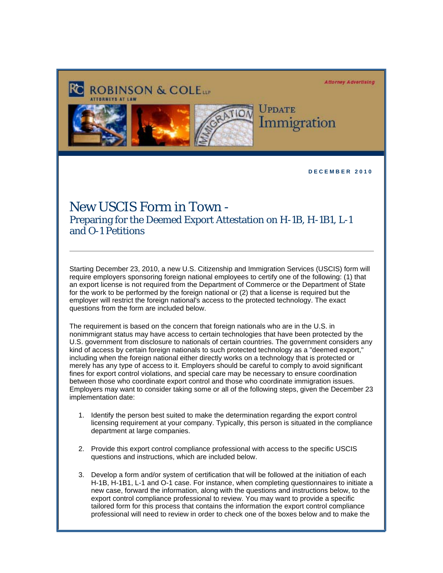**Attorney Advertising** 



**D E C E M B E R 2 0 1 0** 

# New USCIS Form in Town - Preparing for the Deemed Export Attestation on H-1B, H-1B1, L-1 and O-1 Petitions

Starting December 23, 2010, a new U.S. Citizenship and Immigration Services (USCIS) form will require employers sponsoring foreign national employees to certify one of the following: (1) that an export license is not required from the Department of Commerce or the Department of State for the work to be performed by the foreign national or (2) that a license is required but the employer will restrict the foreign national's access to the protected technology. The exact questions from the form are included below.

The requirement is based on the concern that foreign nationals who are in the U.S. in nonimmigrant status may have access to certain technologies that have been protected by the U.S. government from disclosure to nationals of certain countries. The government considers any kind of access by certain foreign nationals to such protected technology as a "deemed export," including when the foreign national either directly works on a technology that is protected or merely has any type of access to it. Employers should be careful to comply to avoid significant fines for export control violations, and special care may be necessary to ensure coordination between those who coordinate export control and those who coordinate immigration issues. Employers may want to consider taking some or all of the following steps, given the December 23 implementation date:

- 1. Identify the person best suited to make the determination regarding the export control licensing requirement at your company. Typically, this person is situated in the compliance department at large companies.
- 2. Provide this export control compliance professional with access to the specific USCIS questions and instructions, which are included below.
- 3. Develop a form and/or system of certification that will be followed at the initiation of each H-1B, H-1B1, L-1 and O-1 case. For instance, when completing questionnaires to initiate a new case, forward the information, along with the questions and instructions below, to the export control compliance professional to review. You may want to provide a specific tailored form for this process that contains the information the export control compliance professional will need to review in order to check one of the boxes below and to make the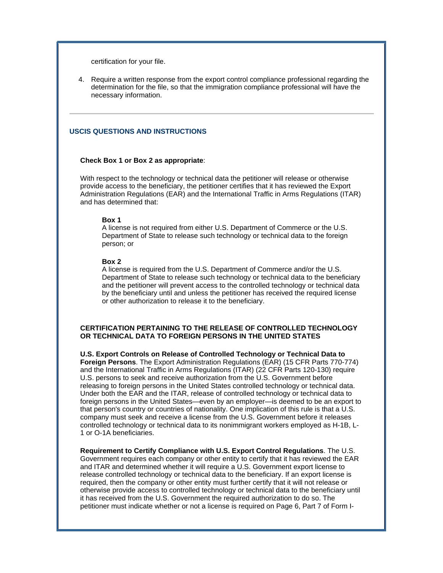certification for your file.

4. Require a written response from the export control compliance professional regarding the determination for the file, so that the immigration compliance professional will have the necessary information.

## **USCIS QUESTIONS AND INSTRUCTIONS**

#### **Check Box 1 or Box 2 as appropriate**:

With respect to the technology or technical data the petitioner will release or otherwise provide access to the beneficiary, the petitioner certifies that it has reviewed the Export Administration Regulations (EAR) and the International Traffic in Arms Regulations (ITAR) and has determined that:

#### **Box 1**

A license is not required from either U.S. Department of Commerce or the U.S. Department of State to release such technology or technical data to the foreign person; or

#### **Box 2**

A license is required from the U.S. Department of Commerce and/or the U.S. Department of State to release such technology or technical data to the beneficiary and the petitioner will prevent access to the controlled technology or technical data by the beneficiary until and unless the petitioner has received the required license or other authorization to release it to the beneficiary.

### **CERTIFICATION PERTAINING TO THE RELEASE OF CONTROLLED TECHNOLOGY OR TECHNICAL DATA TO FOREIGN PERSONS IN THE UNITED STATES**

**U.S. Export Controls on Release of Controlled Technology or Technical Data to** 

**Foreign Persons**. The Export Administration Regulations (EAR) (15 CFR Parts 770-774) and the International Traffic in Arms Regulations (ITAR) (22 CFR Parts 120-130) require U.S. persons to seek and receive authorization from the U.S. Government before releasing to foreign persons in the United States controlled technology or technical data. Under both the EAR and the ITAR, release of controlled technology or technical data to foreign persons in the United States—even by an employer—is deemed to be an export to that person's country or countries of nationality. One implication of this rule is that a U.S. company must seek and receive a license from the U.S. Government before it releases controlled technology or technical data to its nonimmigrant workers employed as H-1B, L-1 or O-1A beneficiaries.

**Requirement to Certify Compliance with U.S. Export Control Regulations**. The U.S. Government requires each company or other entity to certify that it has reviewed the EAR and ITAR and determined whether it will require a U.S. Government export license to release controlled technology or technical data to the beneficiary. If an export license is required, then the company or other entity must further certify that it will not release or otherwise provide access to controlled technology or technical data to the beneficiary until it has received from the U.S. Government the required authorization to do so. The petitioner must indicate whether or not a license is required on Page 6, Part 7 of Form I-